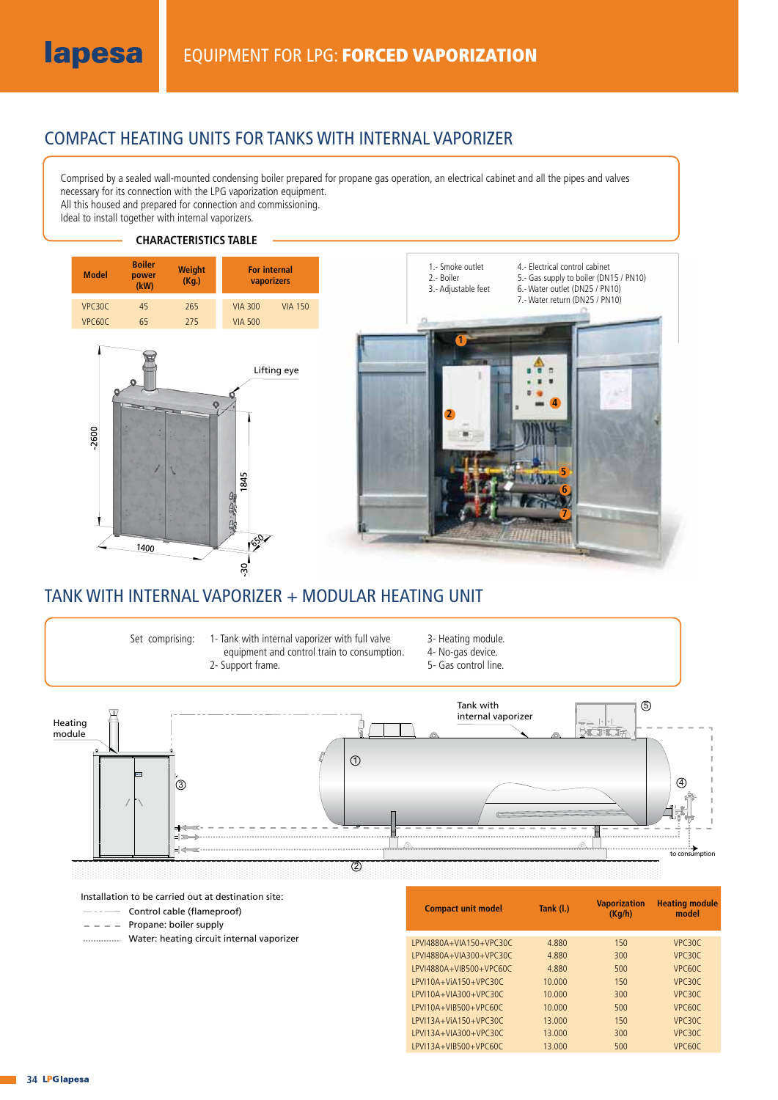### COMPACT HEATING UNITS FOR TANKS WITH INTERNAL VAPORIZER

Comprised by a sealed wall-mounted condensing boiler prepared for propane gas operation, an electrical cabinet and all the pipes and valves necessary for its connection with the LPG vaporization equipment. All this housed and prepared for connection and commissioning.

Ideal to install together with internal vaporizers.

#### **CHARACTERISTICS TABLE**



### TANK WITH INTERNAL VAPORIZER + MODULAR HEATING UNIT

Set comprising:

1- Tank with internal vaporizer with full valve equipment and control train to consumption. 2- Support frame.

- 3- Heating module.
- 4- No-gas device.
- 5- Gas control line.



Installation to be carried out at destination site:

- Control cable (flameproof)  $-$  . .  $-$
- $-$  Propane: boiler supply
- Water: heating circuit internal vaporizer

| Tank (I.) | <b>Vaporization</b><br>(Kq/h) | <b>Heating module</b><br>model |
|-----------|-------------------------------|--------------------------------|
| 4.880     | 150                           | VPC <sub>30</sub> C            |
| 4.880     | 300                           | VPC30C                         |
| 4.880     | 500                           | VPC <sub>60</sub> C            |
| 10.000    | 150                           | VPC30C                         |
| 10.000    | 300                           | VPC30C                         |
| 10.000    | 500                           | VPC60C                         |
| 13.000    | 150                           | VPC30C                         |
| 13.000    | 300                           | VPC30C                         |
| 13.000    | 500                           | VPC <sub>60</sub> C            |
|           |                               |                                |